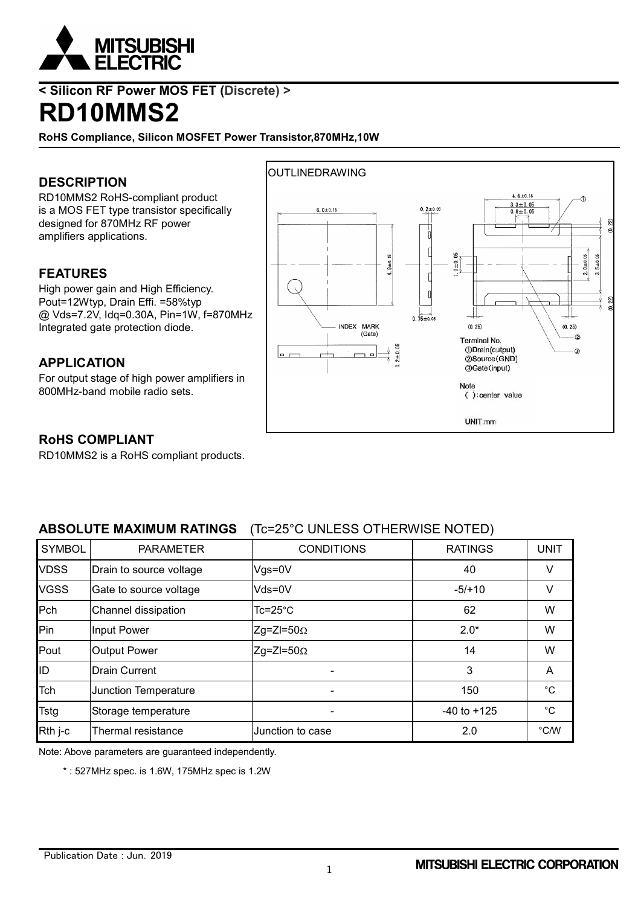

## **< Silicon RF Power MOS FET (Discrete) >**

## **RD10MMS2**

**RoHS Compliance, Silicon MOSFET Power Transistor,870MHz,10W**

### **DESCRIPTION**

RD10MMS2 RoHS-compliant product is a MOS FET type transistor specifically designed for 870MHz RF power amplifiers applications.

#### **FEATURES**

High power gain and High Efficiency. Pout=12Wtyp, Drain Effi. =58%typ @ Vds=7.2V, Idq=0.30A, Pin=1W, f=870MHz Integrated gate protection diode.

#### **APPLICATION**

For output stage of high power amplifiers in 800MHz-band mobile radio sets.



#### **RoHS COMPLIANT**

RD10MMS2 is a RoHS compliant products.

### **ABSOLUTE MAXIMUM RATINGS** (Tc=25°C UNLESS OTHERWISE NOTED)

| <b>SYMBOL</b> | <b>PARAMETER</b>        | <b>CONDITIONS</b>        | <b>RATINGS</b>  | <b>UNIT</b>   |
|---------------|-------------------------|--------------------------|-----------------|---------------|
| <b>VDSS</b>   | Drain to source voltage | $Vgs = 0V$               | 40              | V             |
| <b>VGSS</b>   | Gate to source voltage  | $Vds = 0V$               | $-5/10$         | V             |
| Pch           | Channel dissipation     | $Tc = 25^{\circ}C$       | 62              | W             |
| <b>Pin</b>    | Input Power             | $Zg=ZI=50\Omega$         | $2.0*$          | W             |
| Pout          | <b>Output Power</b>     | $Zg=ZI=50\Omega$         | 14              | W             |
| ID            | <b>Drain Current</b>    |                          | 3               | A             |
| Tch           | Junction Temperature    | $\overline{\phantom{0}}$ | 150             | $^{\circ}$ C  |
| <b>Tstg</b>   | Storage temperature     |                          | $-40$ to $+125$ | $^{\circ}$ C  |
| Rth j-c       | Thermal resistance      | Junction to case         | 2.0             | $\degree$ C/W |

Note: Above parameters are guaranteed independently.

\* : 527MHz spec. is 1.6W, 175MHz spec is 1.2W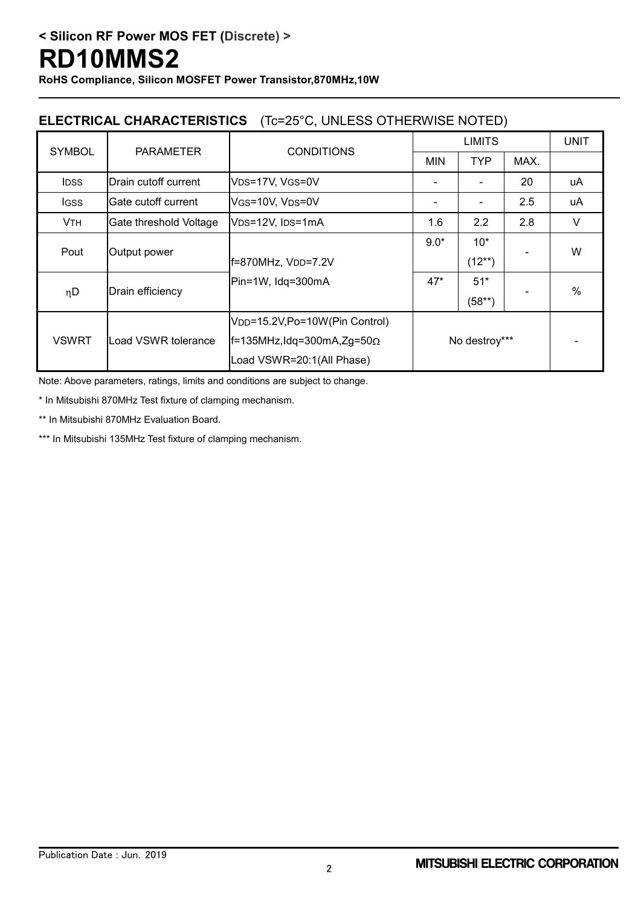**RoHS Compliance, Silicon MOSFET Power Transistor,870MHz,10W**

### **ELECTRICAL CHARACTERISTICS** (Tc=25°C, UNLESS OTHERWISE NOTED)

| <b>SYMBOL</b>         | <b>PARAMETER</b>       | <b>CONDITIONS</b>                          | <b>LIMITS</b> |             |                              | <b>UNIT</b> |  |
|-----------------------|------------------------|--------------------------------------------|---------------|-------------|------------------------------|-------------|--|
|                       |                        |                                            | <b>MIN</b>    | <b>TYP</b>  | MAX.                         |             |  |
| <b>IDSS</b>           | Drain cutoff current   | V <sub>DS</sub> =17V, V <sub>GS</sub> =0V  |               |             | 20                           | uA          |  |
| <b>IGSS</b>           | Gate cutoff current    | VGS=10V, VDS=0V                            |               |             | 2.5                          | uA          |  |
| <b>V<sub>TH</sub></b> | Gate threshold Voltage | VDS=12V, IDS=1mA                           | 1.6           | 2.2         | 2.8                          | $\vee$      |  |
| Pout                  | Output power           |                                            | $9.0*$        | $10*$       | $\qquad \qquad \blacksquare$ | W           |  |
|                       |                        | f=870MHz, VDD=7.2V                         |               | $(12^{**})$ |                              |             |  |
| $\eta$ D              | Drain efficiency       | Pin=1W, Idg=300mA<br>$47*$                 |               | $51*$       | $\qquad \qquad \blacksquare$ | $\%$        |  |
|                       |                        |                                            |               | $(58**)$    |                              |             |  |
|                       |                        | V <sub>DD</sub> =15.2V,Po=10W(Pin Control) | No destroy*** |             |                              |             |  |
| <b>VSWRT</b>          | Load VSWR tolerance    | $ f=135$ MHz, Idq=300mA, Zg=50 $\Omega$    |               |             |                              |             |  |
|                       |                        | Load VSWR=20:1(All Phase)                  |               |             |                              |             |  |

Note: Above parameters, ratings, limits and conditions are subject to change.

\* In Mitsubishi 870MHz Test fixture of clamping mechanism.

\*\* In Mitsubishi 870MHz Evaluation Board.

\*\*\* In Mitsubishi 135MHz Test fixture of clamping mechanism.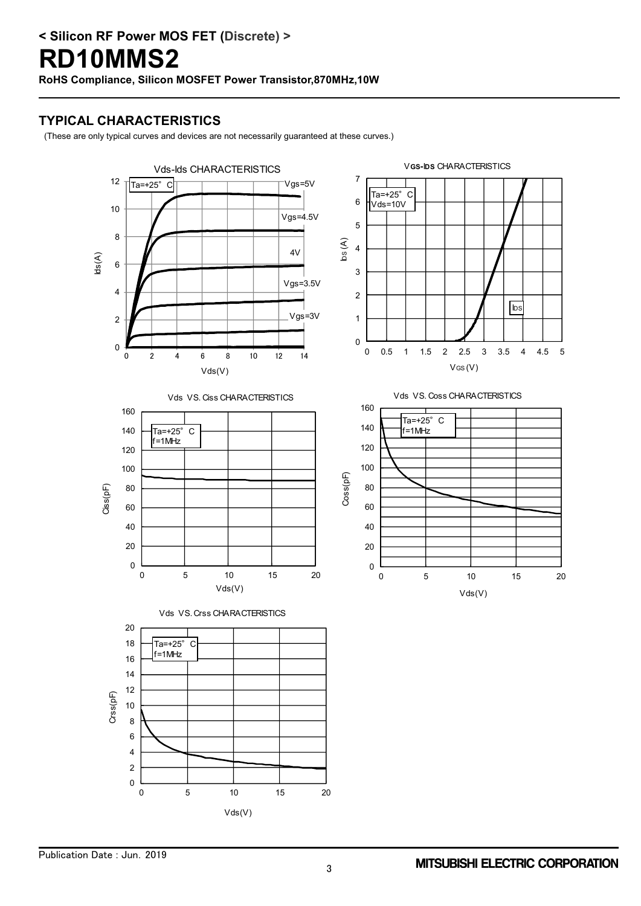**RoHS Compliance, Silicon MOSFET Power Transistor,870MHz,10W**

#### **TYPICAL CHARACTERISTICS**

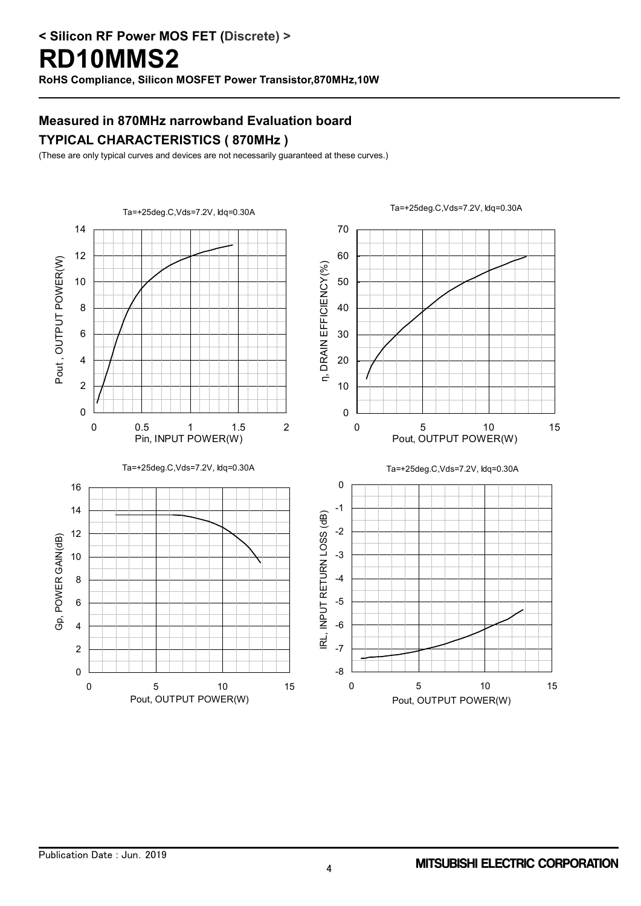**RoHS Compliance, Silicon MOSFET Power Transistor,870MHz,10W**

## **Measured in 870MHz narrowband Evaluation board TYPICAL CHARACTERISTICS ( 870MHz )**

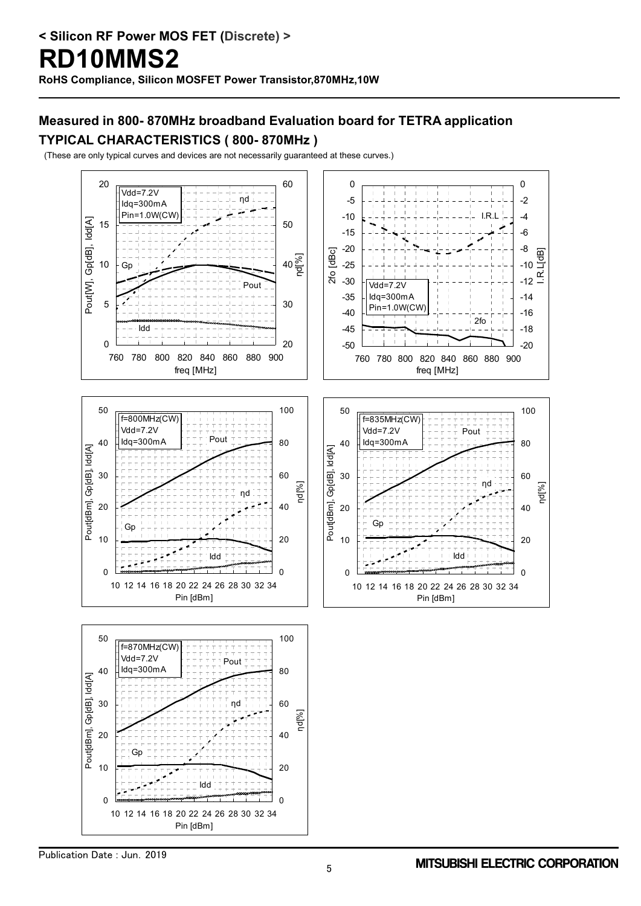## **Measured in 800- 870MHz broadband Evaluation board for TETRA application TYPICAL CHARACTERISTICS ( 800- 870MHz )**

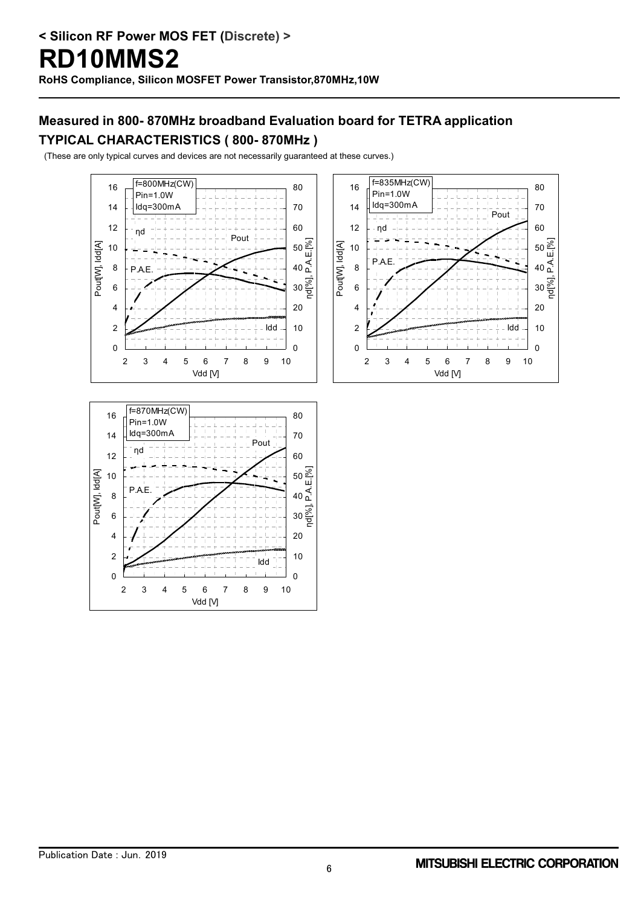## **Measured in 800- 870MHz broadband Evaluation board for TETRA application TYPICAL CHARACTERISTICS ( 800- 870MHz )**





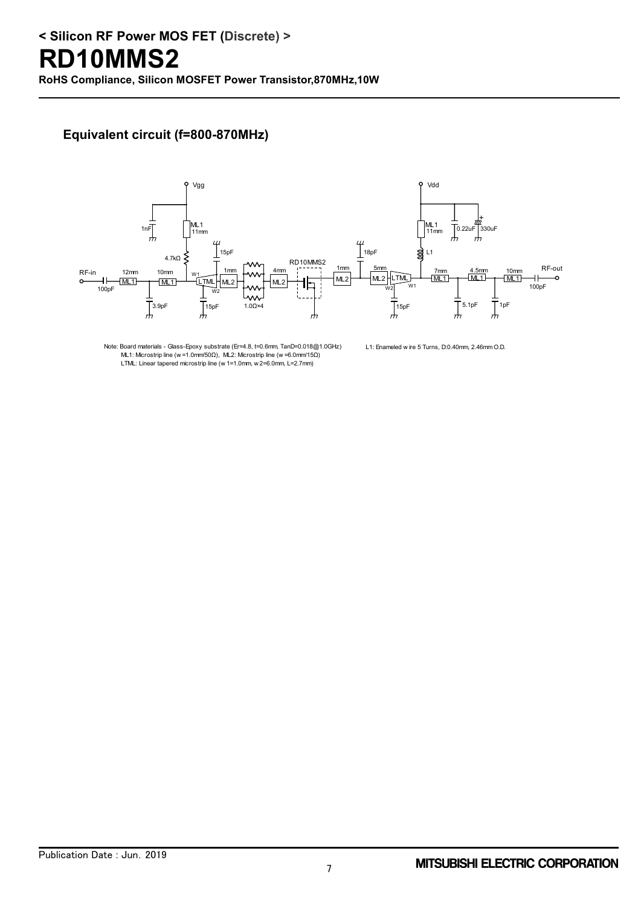**RoHS Compliance, Silicon MOSFET Power Transistor,870MHz,10W**

### **Equivalent circuit (f=800-870MHz)**



Note: Board materials - Glass-Epoxy substrate (Er=4.8, t=0.6mm, TanD=0.018@1.0GHz) ML1: Microstrip line (w =1.0mm/50Ω), ML2: Microstrip line (w =6.0mm/15Ω) LTML: Linear tapered microstrip line (w 1=1.0mm, w 2=6.0mm, L=2.7mm)

L1: Enameled w ire 5 Turns, D:0.40mm, 2.46mm O.D.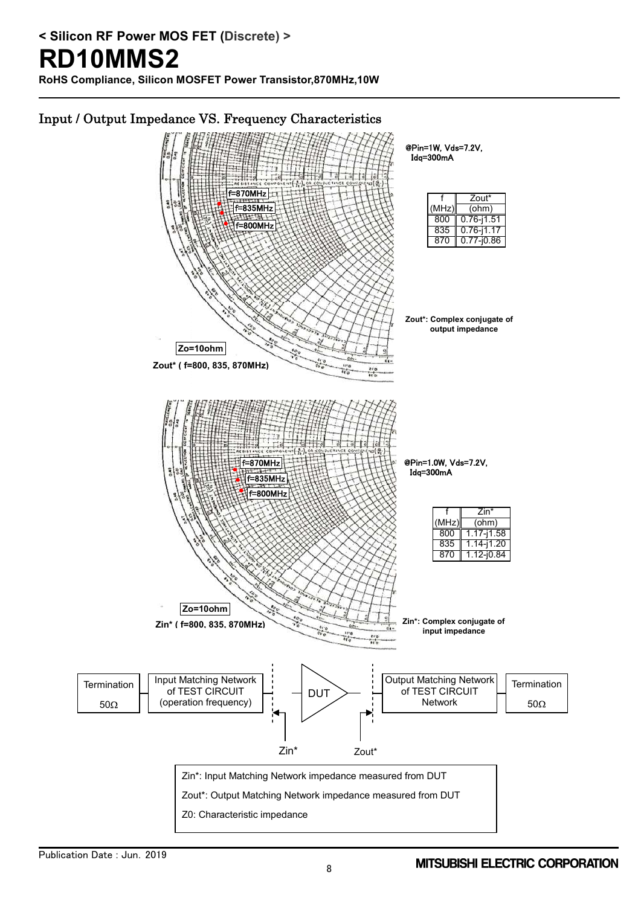**RoHS Compliance, Silicon MOSFET Power Transistor,870MHz,10W**

## Input / Output Impedance VS. Frequency Characteristics

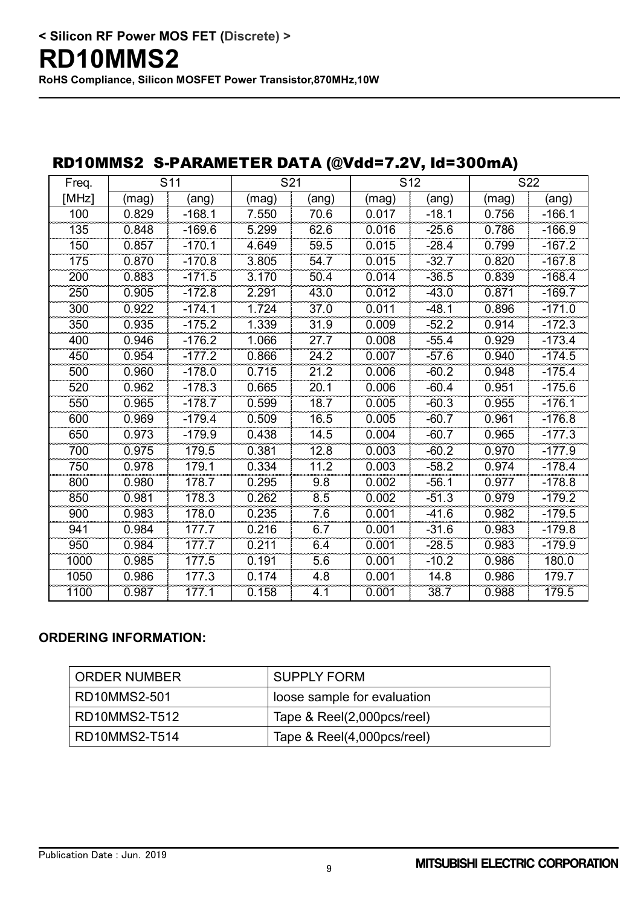**RoHS Compliance, Silicon MOSFET Power Transistor,870MHz,10W**

| KDTUMINISZ S-PAKAMETEK DATA (WVQQ=7.ZV, IQ=300MA) |       |                 |       |       |       |                 |       |          |
|---------------------------------------------------|-------|-----------------|-------|-------|-------|-----------------|-------|----------|
| Freq.                                             |       | S <sub>11</sub> | S21   |       |       | S <sub>12</sub> |       | S22      |
| [MHz]                                             | (mag) | (ang)           | (mag) | (ang) | (mag) | (ang)           | (mag) | (ang)    |
| 100                                               | 0.829 | $-168.1$        | 7.550 | 70.6  | 0.017 | $-18.1$         | 0.756 | $-166.1$ |
| 135                                               | 0.848 | $-169.6$        | 5.299 | 62.6  | 0.016 | $-25.6$         | 0.786 | $-166.9$ |
| 150                                               | 0.857 | $-170.1$        | 4.649 | 59.5  | 0.015 | $-28.4$         | 0.799 | $-167.2$ |
| 175                                               | 0.870 | $-170.8$        | 3.805 | 54.7  | 0.015 | $-32.7$         | 0.820 | $-167.8$ |
| 200                                               | 0.883 | $-171.5$        | 3.170 | 50.4  | 0.014 | $-36.5$         | 0.839 | $-168.4$ |
| 250                                               | 0.905 | $-172.8$        | 2.291 | 43.0  | 0.012 | $-43.0$         | 0.871 | $-169.7$ |
| 300                                               | 0.922 | $-174.1$        | 1.724 | 37.0  | 0.011 | $-48.1$         | 0.896 | $-171.0$ |
| 350                                               | 0.935 | $-175.2$        | 1.339 | 31.9  | 0.009 | $-52.2$         | 0.914 | $-172.3$ |
| 400                                               | 0.946 | $-176.2$        | 1.066 | 27.7  | 0.008 | $-55.4$         | 0.929 | $-173.4$ |
| 450                                               | 0.954 | $-177.2$        | 0.866 | 24.2  | 0.007 | $-57.6$         | 0.940 | $-174.5$ |
| 500                                               | 0.960 | $-178.0$        | 0.715 | 21.2  | 0.006 | $-60.2$         | 0.948 | $-175.4$ |
| 520                                               | 0.962 | $-178.3$        | 0.665 | 20.1  | 0.006 | $-60.4$         | 0.951 | $-175.6$ |
| 550                                               | 0.965 | $-178.7$        | 0.599 | 18.7  | 0.005 | $-60.3$         | 0.955 | $-176.1$ |
| 600                                               | 0.969 | $-179.4$        | 0.509 | 16.5  | 0.005 | $-60.7$         | 0.961 | $-176.8$ |
| 650                                               | 0.973 | $-179.9$        | 0.438 | 14.5  | 0.004 | $-60.7$         | 0.965 | $-177.3$ |
| 700                                               | 0.975 | 179.5           | 0.381 | 12.8  | 0.003 | $-60.2$         | 0.970 | $-177.9$ |
| 750                                               | 0.978 | 179.1           | 0.334 | 11.2  | 0.003 | $-58.2$         | 0.974 | $-178.4$ |
| 800                                               | 0.980 | 178.7           | 0.295 | 9.8   | 0.002 | $-56.1$         | 0.977 | $-178.8$ |
| 850                                               | 0.981 | 178.3           | 0.262 | 8.5   | 0.002 | $-51.3$         | 0.979 | $-179.2$ |
| 900                                               | 0.983 | 178.0           | 0.235 | 7.6   | 0.001 | $-41.6$         | 0.982 | $-179.5$ |
| 941                                               | 0.984 | 177.7           | 0.216 | 6.7   | 0.001 | $-31.6$         | 0.983 | $-179.8$ |
| 950                                               | 0.984 | 177.7           | 0.211 | 6.4   | 0.001 | $-28.5$         | 0.983 | $-179.9$ |
| 1000                                              | 0.985 | 177.5           | 0.191 | 5.6   | 0.001 | $-10.2$         | 0.986 | 180.0    |
| 1050                                              | 0.986 | 177.3           | 0.174 | 4.8   | 0.001 | 14.8            | 0.986 | 179.7    |
| 1100                                              | 0.987 | 177.1           | 0.158 | 4.1   | 0.001 | 38.7            | 0.988 | 179.5    |

## RD10MMS2 S-PARAMETER DATA (@Vdd=7.2V, Id=300mA)

### **ORDERING INFORMATION:**

| l ORDER NUMBER | SUPPLY FORM                 |
|----------------|-----------------------------|
| RD10MMS2-501   | loose sample for evaluation |
| RD10MMS2-T512  | Tape & Reel(2,000pcs/reel)  |
| RD10MMS2-T514  | Tape & Reel(4,000pcs/reel)  |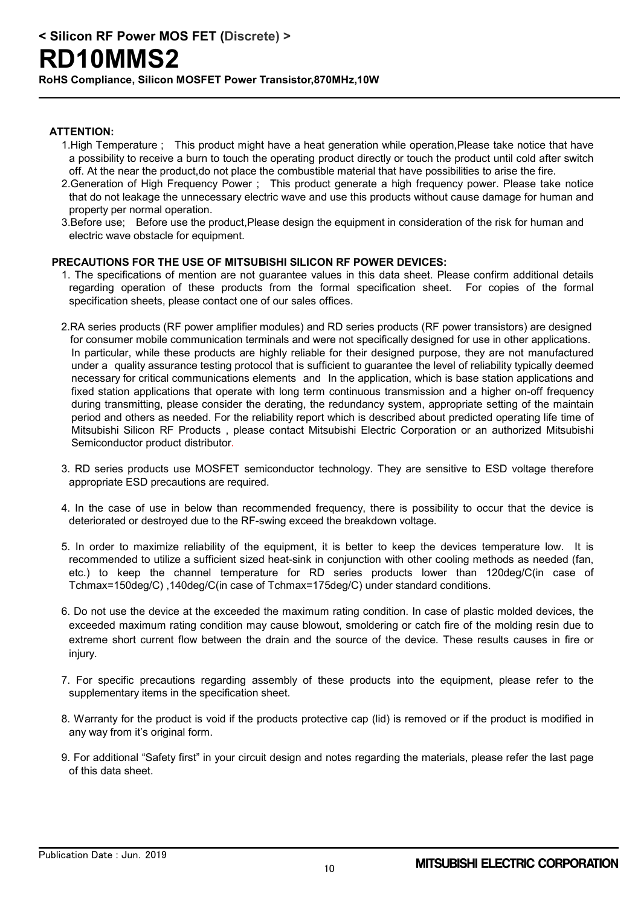**RoHS Compliance, Silicon MOSFET Power Transistor,870MHz,10W**

#### **ATTENTION:**

- 1.High Temperature ; This product might have a heat generation while operation,Please take notice that have a possibility to receive a burn to touch the operating product directly or touch the product until cold after switch off. At the near the product,do not place the combustible material that have possibilities to arise the fire.
- 2.Generation of High Frequency Power ; This product generate a high frequency power. Please take notice that do not leakage the unnecessary electric wave and use this products without cause damage for human and property per normal operation.
- 3.Before use; Before use the product,Please design the equipment in consideration of the risk for human and electric wave obstacle for equipment.

#### **PRECAUTIONS FOR THE USE OF MITSUBISHI SILICON RF POWER DEVICES:**

- 1. The specifications of mention are not guarantee values in this data sheet. Please confirm additional details regarding operation of these products from the formal specification sheet. For copies of the formal specification sheets, please contact one of our sales offices.
- 2.RA series products (RF power amplifier modules) and RD series products (RF power transistors) are designed for consumer mobile communication terminals and were not specifically designed for use in other applications. In particular, while these products are highly reliable for their designed purpose, they are not manufactured under a quality assurance testing protocol that is sufficient to guarantee the level of reliability typically deemed necessary for critical communications elements and In the application, which is base station applications and fixed station applications that operate with long term continuous transmission and a higher on-off frequency during transmitting, please consider the derating, the redundancy system, appropriate setting of the maintain period and others as needed. For the reliability report which is described about predicted operating life time of Mitsubishi Silicon RF Products , please contact Mitsubishi Electric Corporation or an authorized Mitsubishi Semiconductor product distributor.
- 3. RD series products use MOSFET semiconductor technology. They are sensitive to ESD voltage therefore appropriate ESD precautions are required.
- 4. In the case of use in below than recommended frequency, there is possibility to occur that the device is deteriorated or destroyed due to the RF-swing exceed the breakdown voltage.
- 5. In order to maximize reliability of the equipment, it is better to keep the devices temperature low. It is recommended to utilize a sufficient sized heat-sink in conjunction with other cooling methods as needed (fan, etc.) to keep the channel temperature for RD series products lower than 120deg/C(in case of Tchmax=150deg/C) ,140deg/C(in case of Tchmax=175deg/C) under standard conditions.
- 6. Do not use the device at the exceeded the maximum rating condition. In case of plastic molded devices, the exceeded maximum rating condition may cause blowout, smoldering or catch fire of the molding resin due to extreme short current flow between the drain and the source of the device. These results causes in fire or injury.
- 7. For specific precautions regarding assembly of these products into the equipment, please refer to the supplementary items in the specification sheet.
- 8. Warranty for the product is void if the products protective cap (lid) is removed or if the product is modified in any way from it's original form.
- 9. For additional "Safety first" in your circuit design and notes regarding the materials, please refer the last page of this data sheet.